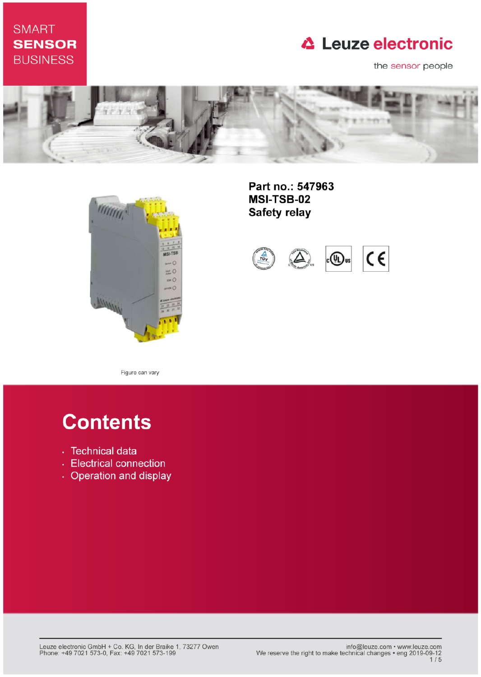### **SMART SENSOR BUSINESS**

## **△ Leuze electronic**

the sensor people





Part no.: 547963 **MSI-TSB-02 Safety relay** 



Figure can vary

# **Contents**

- · Technical data
- Electrical connection
- Operation and display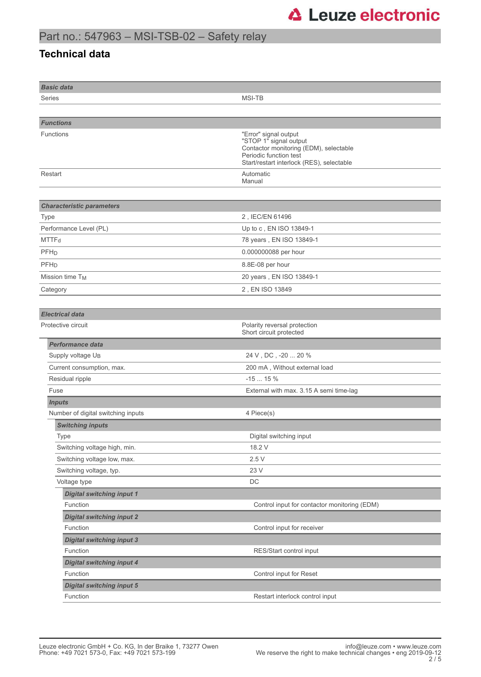### **Technical data**

| <b>Basic data</b>                            |                                                                                                                                                                  |
|----------------------------------------------|------------------------------------------------------------------------------------------------------------------------------------------------------------------|
| Series                                       | <b>MSI-TB</b>                                                                                                                                                    |
|                                              |                                                                                                                                                                  |
| <b>Functions</b>                             |                                                                                                                                                                  |
| <b>Functions</b>                             | "Error" signal output<br>"STOP 1" signal output<br>Contactor monitoring (EDM), selectable<br>Periodic function test<br>Start/restart interlock (RES), selectable |
| Restart                                      | Automatic<br>Manual                                                                                                                                              |
| <b>Characteristic parameters</b>             |                                                                                                                                                                  |
| <b>Type</b>                                  | 2, IEC/EN 61496                                                                                                                                                  |
| Performance Level (PL)                       | Up to c, EN ISO 13849-1                                                                                                                                          |
| MTTF <sub>d</sub>                            | 78 years, EN ISO 13849-1                                                                                                                                         |
| PFH <sub>D</sub>                             | 0.000000088 per hour                                                                                                                                             |
| PFHD                                         | 8.8E-08 per hour                                                                                                                                                 |
| Mission time T <sub>M</sub>                  | 20 years, EN ISO 13849-1                                                                                                                                         |
| Category                                     | 2, EN ISO 13849                                                                                                                                                  |
|                                              |                                                                                                                                                                  |
| <b>Electrical data</b>                       |                                                                                                                                                                  |
| Protective circuit                           | Polarity reversal protection<br>Short circuit protected                                                                                                          |
| <b>Performance data</b>                      |                                                                                                                                                                  |
| Supply voltage UB                            | 24 V , DC , -20  20 %                                                                                                                                            |
| Current consumption, max.                    | 200 mA, Without external load                                                                                                                                    |
| Residual ripple                              | $-1515%$                                                                                                                                                         |
| Fuse                                         | External with max. 3.15 A semi time-lag                                                                                                                          |
| <b>Inputs</b>                                |                                                                                                                                                                  |
| Number of digital switching inputs           | 4 Piece(s)                                                                                                                                                       |
| <b>Switching inputs</b>                      |                                                                                                                                                                  |
| Type                                         | Digital switching input                                                                                                                                          |
| Switching voltage high, min.                 | 18.2 V                                                                                                                                                           |
| Switching voltage low, max.                  | 2.5V                                                                                                                                                             |
| Switching voltage, typ.                      | 23 V                                                                                                                                                             |
| Voltage type                                 | DC                                                                                                                                                               |
| <b>Digital switching input 1</b>             |                                                                                                                                                                  |
| Function                                     | Control input for contactor monitoring (EDM)                                                                                                                     |
| <b>Digital switching input 2</b><br>Function | Control input for receiver                                                                                                                                       |
| <b>Digital switching input 3</b>             |                                                                                                                                                                  |
| Function                                     | RES/Start control input                                                                                                                                          |
| <b>Digital switching input 4</b>             |                                                                                                                                                                  |
| Function                                     | Control input for Reset                                                                                                                                          |
| <b>Digital switching input 5</b>             |                                                                                                                                                                  |
| Function                                     | Restart interlock control input                                                                                                                                  |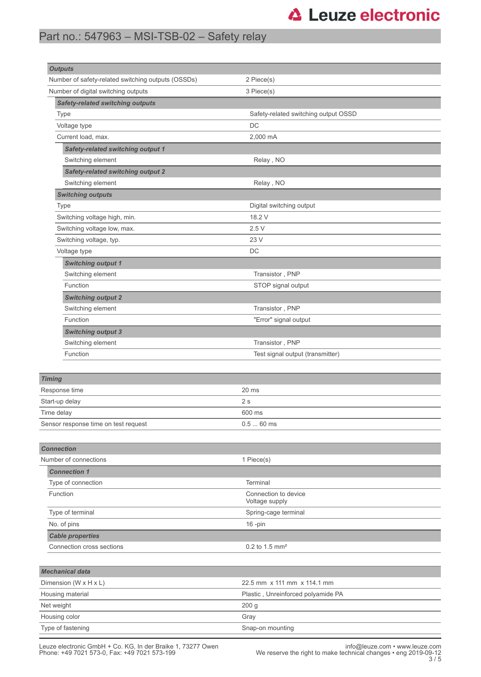## **△ Leuze electronic**

### Part no.: 547963 – MSI-TSB-02 – Safety relay

| <b>Outputs</b><br>Number of safety-related switching outputs (OSSDs) | 2 Piece(s)                           |
|----------------------------------------------------------------------|--------------------------------------|
| Number of digital switching outputs                                  | 3 Piece(s)                           |
| <b>Safety-related switching outputs</b>                              |                                      |
| Type                                                                 | Safety-related switching output OSSD |
| Voltage type                                                         | DC                                   |
| Current load, max.                                                   | 2,000 mA                             |
| <b>Safety-related switching output 1</b>                             |                                      |
| Switching element                                                    | Relay, NO                            |
| <b>Safety-related switching output 2</b>                             |                                      |
| Switching element                                                    | Relay, NO                            |
| <b>Switching outputs</b>                                             |                                      |
| <b>Type</b>                                                          | Digital switching output             |
| Switching voltage high, min.                                         | 18.2 V                               |
| Switching voltage low, max.                                          | 2.5V                                 |
| Switching voltage, typ.                                              | 23 V                                 |
| Voltage type                                                         | DC                                   |
| <b>Switching output 1</b>                                            |                                      |
| Switching element                                                    | Transistor, PNP                      |
| Function                                                             | STOP signal output                   |
| <b>Switching output 2</b>                                            |                                      |
| Switching element                                                    | Transistor, PNP                      |
| Function                                                             | "Error" signal output                |
| <b>Switching output 3</b>                                            |                                      |
| Switching element                                                    | Transistor, PNP                      |
| Function                                                             | Test signal output (transmitter)     |
|                                                                      |                                      |
| <b>Timing</b>                                                        |                                      |
| Response time                                                        | 20 ms                                |
| Start-up delay                                                       | 2s                                   |
| Time delay                                                           | 600 ms                               |
| Sensor response time on test request                                 | $0.560$ ms                           |
|                                                                      |                                      |
| <b>Connection</b>                                                    |                                      |
| Number of connections                                                | 1 Piece(s)                           |
| <b>Connection 1</b>                                                  |                                      |
| Type of connection                                                   | Terminal                             |
| Function                                                             | Connection to device                 |
|                                                                      | Voltage supply                       |
| Type of terminal                                                     | Spring-cage terminal                 |
| No. of pins                                                          | $16$ -pin                            |
| <b>Cable properties</b>                                              |                                      |
| Connection cross sections                                            | 0.2 to 1.5 mm <sup>2</sup>           |
|                                                                      |                                      |
| <b>Mechanical data</b>                                               |                                      |
| Dimension (W x H x L)                                                | 22.5 mm x 111 mm x 114.1 mm          |
| Housing material                                                     | Plastic, Unreinforced polyamide PA   |
| Net weight                                                           | 200 g                                |
| Housing color                                                        | Gray                                 |
| Type of fastening                                                    | Snap-on mounting                     |

Leuze electronic GmbH + Co. KG, In der Braike 1, 73277 Owen<br>12-Phone: +49 7021 573-0, Fax: +49 7021 573-199 We reserve the right to make technical changes • eng 2019-09-<br>5 / 3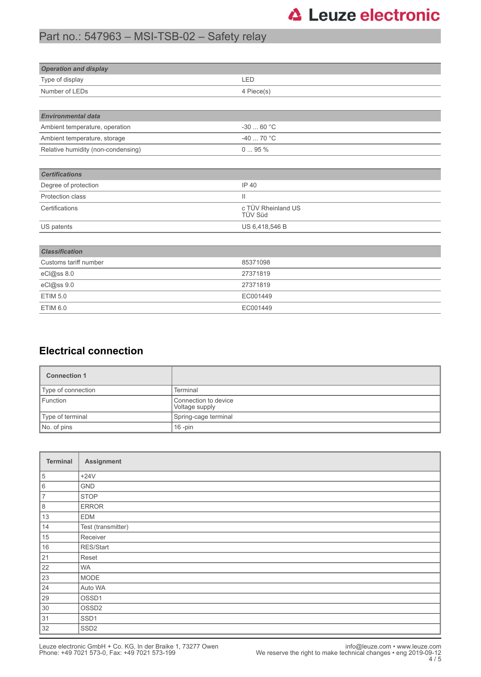## **△ Leuze electronic**

### Part no.: 547963 – MSI-TSB-02 – Safety relay

| <b>Operation and display</b>       |                               |  |
|------------------------------------|-------------------------------|--|
| Type of display                    | LED                           |  |
| Number of LEDs                     | 4 Piece(s)                    |  |
|                                    |                               |  |
| <b>Environmental data</b>          |                               |  |
| Ambient temperature, operation     | -30 $\ldots$ 60 °C            |  |
| Ambient temperature, storage       | -40  70 °C                    |  |
| Relative humidity (non-condensing) | 095%                          |  |
|                                    |                               |  |
| <b>Certifications</b>              |                               |  |
| Degree of protection               | <b>IP 40</b>                  |  |
| Protection class                   | $\mathbf{H}$                  |  |
| Certifications                     | c TÜV Rheinland US<br>TÜV Süd |  |
| US patents                         | US 6,418,546 B                |  |
|                                    |                               |  |
| <b>Classification</b>              |                               |  |
| Customs tariff number              | 85371098                      |  |
| eCl@ss 8.0                         | 27371819                      |  |
| eCl@ss 9.0                         | 27371819                      |  |
| <b>ETIM 5.0</b>                    | EC001449                      |  |
| <b>ETIM 6.0</b>                    | EC001449                      |  |

### **Electrical connection**

| <b>Connection 1</b>                                |                      |  |
|----------------------------------------------------|----------------------|--|
| Type of connection                                 | Terminal             |  |
| Function<br>Connection to device<br>Voltage supply |                      |  |
| Type of terminal                                   | Spring-cage terminal |  |
| No. of pins<br>$16$ -pin                           |                      |  |

| Terminal       | Assignment         |
|----------------|--------------------|
| 5              | $+24V$             |
| 6              | <b>GND</b>         |
| $\overline{7}$ | <b>STOP</b>        |
| $\, 8$         | <b>ERROR</b>       |
| 13             | <b>EDM</b>         |
| 14             | Test (transmitter) |
| 15             | Receiver           |
| $16\,$         | RES/Start          |
| 21             | Reset              |
| 22             | <b>WA</b>          |
| 23             | MODE               |
| 24             | Auto WA            |
| 29             | OSSD1              |
| 30             | OSSD <sub>2</sub>  |
| 31             | SSD <sub>1</sub>   |
| 32             | SSD <sub>2</sub>   |